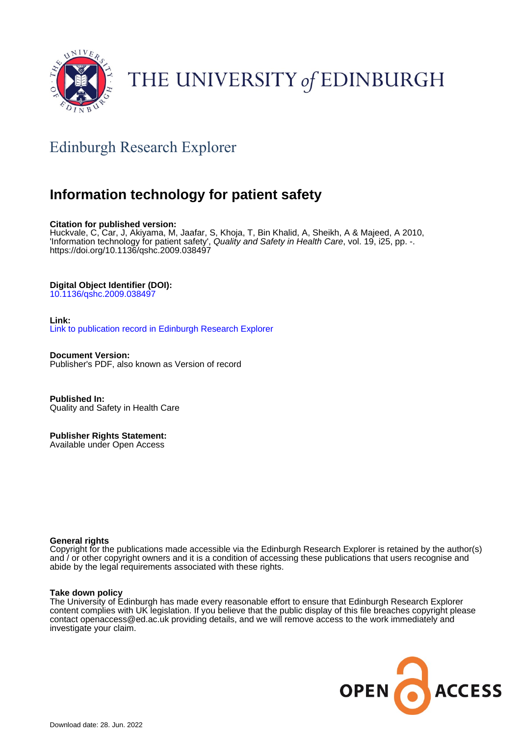

# THE UNIVERSITY of EDINBURGH

# Edinburgh Research Explorer

### **Information technology for patient safety**

#### **Citation for published version:**

Huckvale, C, Car, J, Akiyama, M, Jaafar, S, Khoja, T, Bin Khalid, A, Sheikh, A & Majeed, A 2010, Information technology for patient safety', Quality and Safety in Health Care, vol. 19, i25, pp. -. <https://doi.org/10.1136/qshc.2009.038497>

#### **Digital Object Identifier (DOI):**

[10.1136/qshc.2009.038497](https://doi.org/10.1136/qshc.2009.038497)

#### **Link:**

[Link to publication record in Edinburgh Research Explorer](https://www.research.ed.ac.uk/en/publications/40d10005-6865-4b5b-bc29-2915eebcaa33)

**Document Version:** Publisher's PDF, also known as Version of record

**Published In:** Quality and Safety in Health Care

**Publisher Rights Statement:** Available under Open Access

#### **General rights**

Copyright for the publications made accessible via the Edinburgh Research Explorer is retained by the author(s) and / or other copyright owners and it is a condition of accessing these publications that users recognise and abide by the legal requirements associated with these rights.

#### **Take down policy**

The University of Edinburgh has made every reasonable effort to ensure that Edinburgh Research Explorer content complies with UK legislation. If you believe that the public display of this file breaches copyright please contact openaccess@ed.ac.uk providing details, and we will remove access to the work immediately and investigate your claim.

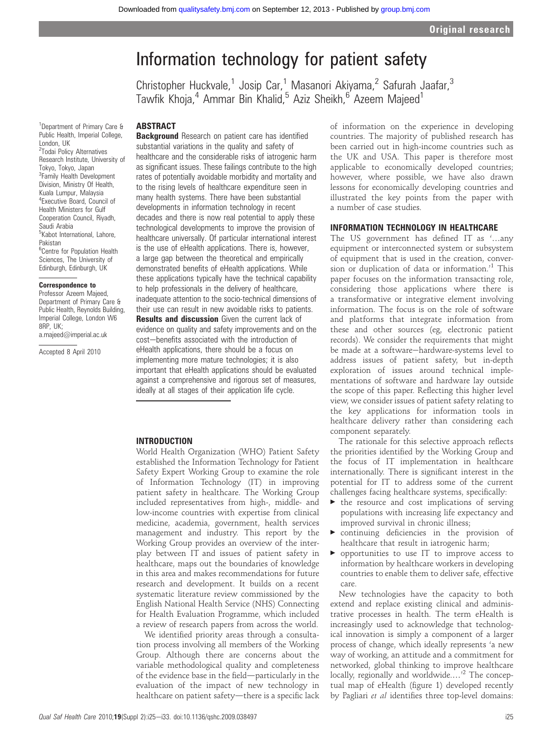## Information technology for patient safety

Christopher Huckvale,<sup>1</sup> Josip Car,<sup>1</sup> Masanori Akiyama,<sup>2</sup> Safurah Jaafar,<sup>3</sup> Tawfik Khoja,<sup>4</sup> Ammar Bin Khalid,<sup>5</sup> Aziz Sheikh,<sup>6</sup> Azeem Majeed<sup>1</sup>

<sup>1</sup>Department of Primary Care & Public Health, Imperial College, London, UK <sup>2</sup>Todai Policy Alternatives Research Institute, University of Tokyo, Tokyo, Japan <sup>3</sup> Family Health Development Division, Ministry Of Health, Kuala Lumpur, Malaysia 4 Executive Board, Council of Health Ministers for Gulf Cooperation Council, Riyadh, Saudi Arabia <sup>5</sup>Kabot International, Lahore, Pakistan 6 Centre for Population Health Sciences, The University of Edinburgh, Edinburgh, UK

#### Correspondence to

Professor Azeem Majeed, Department of Primary Care & Public Health, Reynolds Building, Imperial College, London W6 8RP, UK; a.majeed@imperial.ac.uk

Accepted 8 April 2010

#### **ABSTRACT**

**Background** Research on patient care has identified substantial variations in the quality and safety of healthcare and the considerable risks of iatrogenic harm as significant issues. These failings contribute to the high rates of potentially avoidable morbidity and mortality and to the rising levels of healthcare expenditure seen in many health systems. There have been substantial developments in information technology in recent decades and there is now real potential to apply these technological developments to improve the provision of healthcare universally. Of particular international interest is the use of eHealth applications. There is, however, a large gap between the theoretical and empirically demonstrated benefits of eHealth applications. While these applications typically have the technical capability to help professionals in the delivery of healthcare, inadequate attention to the socio-technical dimensions of their use can result in new avoidable risks to patients. **Results and discussion** Given the current lack of evidence on quality and safety improvements and on the cost-benefits associated with the introduction of eHealth applications, there should be a focus on implementing more mature technologies; it is also important that eHealth applications should be evaluated against a comprehensive and rigorous set of measures, ideally at all stages of their application life cycle.

#### INTRODUCTION

World Health Organization (WHO) Patient Safety established the Information Technology for Patient Safety Expert Working Group to examine the role of Information Technology (IT) in improving patient safety in healthcare. The Working Group included representatives from high-, middle- and low-income countries with expertise from clinical medicine, academia, government, health services management and industry. This report by the Working Group provides an overview of the interplay between IT and issues of patient safety in healthcare, maps out the boundaries of knowledge in this area and makes recommendations for future research and development. It builds on a recent systematic literature review commissioned by the English National Health Service (NHS) Connecting for Health Evaluation Programme, which included a review of research papers from across the world.

We identified priority areas through a consultation process involving all members of the Working Group. Although there are concerns about the variable methodological quality and completeness of the evidence base in the field-particularly in the evaluation of the impact of new technology in healthcare on patient safety—there is a specific lack of information on the experience in developing countries. The majority of published research has been carried out in high-income countries such as the UK and USA. This paper is therefore most applicable to economically developed countries; however, where possible, we have also drawn lessons for economically developing countries and illustrated the key points from the paper with a number of case studies.

#### INFORMATION TECHNOLOGY IN HEALTHCARE

The US government has defined IT as '...any equipment or interconnected system or subsystem of equipment that is used in the creation, conversion or duplication of data or information.' <sup>1</sup> This paper focuses on the information transacting role, considering those applications where there is a transformative or integrative element involving information. The focus is on the role of software and platforms that integrate information from these and other sources (eg, electronic patient records). We consider the requirements that might be made at a software-hardware-systems level to address issues of patient safety, but in-depth exploration of issues around technical implementations of software and hardware lay outside the scope of this paper. Reflecting this higher level view, we consider issues of patient safety relating to the key applications for information tools in healthcare delivery rather than considering each component separately.

The rationale for this selective approach reflects the priorities identified by the Working Group and the focus of IT implementation in healthcare internationally. There is significant interest in the potential for IT to address some of the current challenges facing healthcare systems, specifically:

- $\blacktriangleright$  the resource and cost implications of serving populations with increasing life expectancy and improved survival in chronic illness;
- < continuing deficiencies in the provision of healthcare that result in iatrogenic harm;
- $\blacktriangleright$  opportunities to use IT to improve access to information by healthcare workers in developing countries to enable them to deliver safe, effective care.

New technologies have the capacity to both extend and replace existing clinical and administrative processes in health. The term eHealth is increasingly used to acknowledge that technological innovation is simply a component of a larger process of change, which ideally represents 'a new way of working, an attitude and a commitment for networked, global thinking to improve healthcare locally, regionally and worldwide....<sup>'2</sup> The conceptual map of eHealth (figure 1) developed recently by Pagliari et al identifies three top-level domains: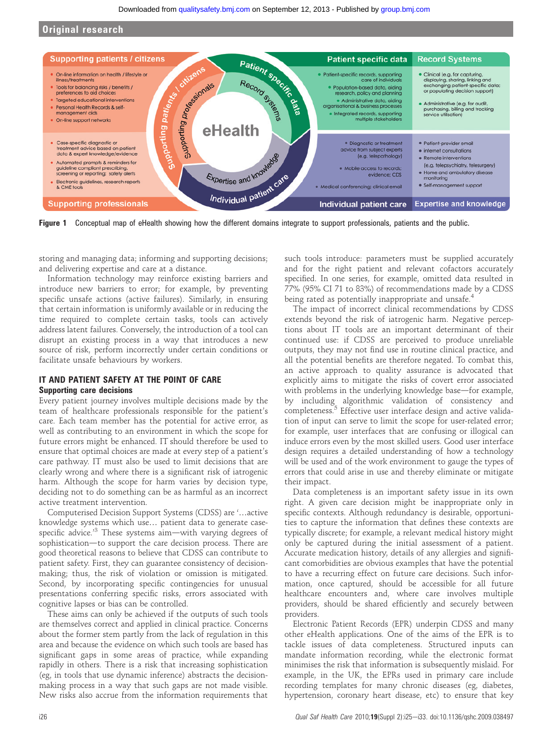

Figure 1 Conceptual map of eHealth showing how the different domains integrate to support professionals, patients and the public.

storing and managing data; informing and supporting decisions; and delivering expertise and care at a distance.

Information technology may reinforce existing barriers and introduce new barriers to error; for example, by preventing specific unsafe actions (active failures). Similarly, in ensuring that certain information is uniformly available or in reducing the time required to complete certain tasks, tools can actively address latent failures. Conversely, the introduction of a tool can disrupt an existing process in a way that introduces a new source of risk, perform incorrectly under certain conditions or facilitate unsafe behaviours by workers.

#### IT AND PATIENT SAFETY AT THE POINT OF CARE Supporting care decisions

Every patient journey involves multiple decisions made by the team of healthcare professionals responsible for the patient's care. Each team member has the potential for active error, as well as contributing to an environment in which the scope for future errors might be enhanced. IT should therefore be used to ensure that optimal choices are made at every step of a patient's care pathway. IT must also be used to limit decisions that are clearly wrong and where there is a significant risk of iatrogenic harm. Although the scope for harm varies by decision type, deciding not to do something can be as harmful as an incorrect active treatment intervention.

Computerised Decision Support Systems (CDSS) are '...active knowledge systems which use... patient data to generate casespecific advice.<sup>3</sup> These systems aim-with varying degrees of sophistication-to support the care decision process. There are good theoretical reasons to believe that CDSS can contribute to patient safety. First, they can guarantee consistency of decisionmaking; thus, the risk of violation or omission is mitigated. Second, by incorporating specific contingencies for unusual presentations conferring specific risks, errors associated with cognitive lapses or bias can be controlled.

These aims can only be achieved if the outputs of such tools are themselves correct and applied in clinical practice. Concerns about the former stem partly from the lack of regulation in this area and because the evidence on which such tools are based has significant gaps in some areas of practice, while expanding rapidly in others. There is a risk that increasing sophistication (eg, in tools that use dynamic inference) abstracts the decisionmaking process in a way that such gaps are not made visible. New risks also accrue from the information requirements that such tools introduce: parameters must be supplied accurately and for the right patient and relevant cofactors accurately specified. In one series, for example, omitted data resulted in 77% (95% CI 71 to 83%) of recommendations made by a CDSS being rated as potentially inappropriate and unsafe.<sup>4</sup>

The impact of incorrect clinical recommendations by CDSS extends beyond the risk of iatrogenic harm. Negative perceptions about IT tools are an important determinant of their continued use: if CDSS are perceived to produce unreliable outputs, they may not find use in routine clinical practice, and all the potential benefits are therefore negated. To combat this, an active approach to quality assurance is advocated that explicitly aims to mitigate the risks of covert error associated with problems in the underlying knowledge base-for example, by including algorithmic validation of consistency and completeness.<sup>5</sup> Effective user interface design and active validation of input can serve to limit the scope for user-related error; for example, user interfaces that are confusing or illogical can induce errors even by the most skilled users. Good user interface design requires a detailed understanding of how a technology will be used and of the work environment to gauge the types of errors that could arise in use and thereby eliminate or mitigate their impact.

Data completeness is an important safety issue in its own right. A given care decision might be inappropriate only in specific contexts. Although redundancy is desirable, opportunities to capture the information that defines these contexts are typically discrete; for example, a relevant medical history might only be captured during the initial assessment of a patient. Accurate medication history, details of any allergies and significant comorbidities are obvious examples that have the potential to have a recurring effect on future care decisions. Such information, once captured, should be accessible for all future healthcare encounters and, where care involves multiple providers, should be shared efficiently and securely between providers.

Electronic Patient Records (EPR) underpin CDSS and many other eHealth applications. One of the aims of the EPR is to tackle issues of data completeness. Structured inputs can mandate information recording, while the electronic format minimises the risk that information is subsequently mislaid. For example, in the UK, the EPRs used in primary care include recording templates for many chronic diseases (eg, diabetes, hypertension, coronary heart disease, etc) to ensure that key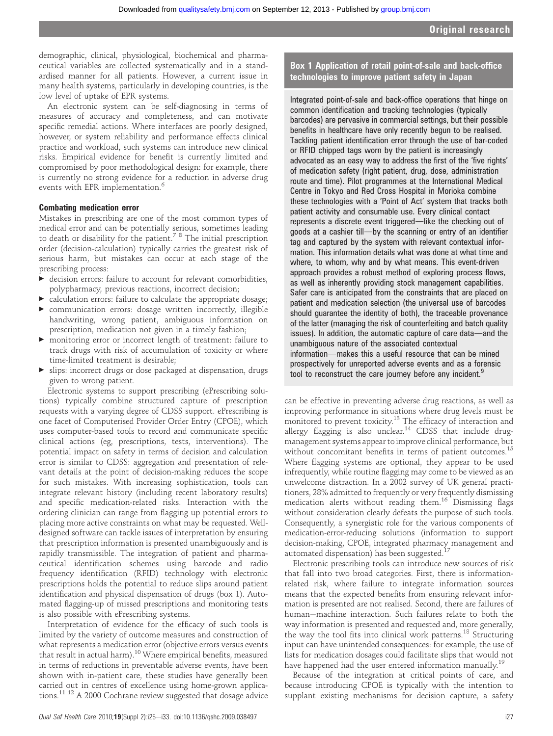demographic, clinical, physiological, biochemical and pharmaceutical variables are collected systematically and in a standardised manner for all patients. However, a current issue in many health systems, particularly in developing countries, is the low level of uptake of EPR systems.

An electronic system can be self-diagnosing in terms of measures of accuracy and completeness, and can motivate specific remedial actions. Where interfaces are poorly designed, however, or system reliability and performance effects clinical practice and workload, such systems can introduce new clinical risks. Empirical evidence for benefit is currently limited and compromised by poor methodological design: for example, there is currently no strong evidence for a reduction in adverse drug events with EPR implementation.<sup>6</sup>

#### Combating medication error

Mistakes in prescribing are one of the most common types of medical error and can be potentially serious, sometimes leading to death or disability for the patient.<sup>7</sup>  $8$  The initial prescription order (decision-calculation) typically carries the greatest risk of serious harm, but mistakes can occur at each stage of the prescribing process:

- $\blacktriangleright$  decision errors: failure to account for relevant comorbidities. polypharmacy, previous reactions, incorrect decision;
- < calculation errors: failure to calculate the appropriate dosage;
- communication errors: dosage written incorrectly, illegible handwriting, wrong patient, ambiguous information on prescription, medication not given in a timely fashion;
- < monitoring error or incorrect length of treatment: failure to track drugs with risk of accumulation of toxicity or where time-limited treatment is desirable;
- < slips: incorrect drugs or dose packaged at dispensation, drugs given to wrong patient.

Electronic systems to support prescribing (ePrescribing solutions) typically combine structured capture of prescription requests with a varying degree of CDSS support. ePrescribing is one facet of Computerised Provider Order Entry (CPOE), which uses computer-based tools to record and communicate specific clinical actions (eg, prescriptions, tests, interventions). The potential impact on safety in terms of decision and calculation error is similar to CDSS: aggregation and presentation of relevant details at the point of decision-making reduces the scope for such mistakes. With increasing sophistication, tools can integrate relevant history (including recent laboratory results) and specific medication-related risks. Interaction with the ordering clinician can range from flagging up potential errors to placing more active constraints on what may be requested. Welldesigned software can tackle issues of interpretation by ensuring that prescription information is presented unambiguously and is rapidly transmissible. The integration of patient and pharmaceutical identification schemes using barcode and radio frequency identification (RFID) technology with electronic prescriptions holds the potential to reduce slips around patient identification and physical dispensation of drugs (box 1). Automated flagging-up of missed prescriptions and monitoring tests is also possible with ePrescribing systems.

Interpretation of evidence for the efficacy of such tools is limited by the variety of outcome measures and construction of what represents a medication error (objective errors versus events that result in actual harm).<sup>10</sup> Where empirical benefits, measured in terms of reductions in preventable adverse events, have been shown with in-patient care, these studies have generally been carried out in centres of excellence using home-grown applications.11 12 A 2000 Cochrane review suggested that dosage advice

Box 1 Application of retail point-of-sale and back-office technologies to improve patient safety in Japan

Integrated point-of-sale and back-office operations that hinge on common identification and tracking technologies (typically barcodes) are pervasive in commercial settings, but their possible benefits in healthcare have only recently begun to be realised. Tackling patient identification error through the use of bar-coded or RFID chipped tags worn by the patient is increasingly advocated as an easy way to address the first of the 'five rights' of medication safety (right patient, drug, dose, administration route and time). Pilot programmes at the International Medical Centre in Tokyo and Red Cross Hospital in Morioka combine these technologies with a 'Point of Act' system that tracks both patient activity and consumable use. Every clinical contact represents a discrete event triggered—like the checking out of goods at a cashier till—by the scanning or entry of an identifier tag and captured by the system with relevant contextual information. This information details what was done at what time and where, to whom, why and by what means. This event-driven approach provides a robust method of exploring process flows, as well as inherently providing stock management capabilities. Safer care is anticipated from the constraints that are placed on patient and medication selection (the universal use of barcodes should guarantee the identity of both), the traceable provenance of the latter (managing the risk of counterfeiting and batch quality issues). In addition, the automatic capture of care data-and the unambiguous nature of the associated contextual information—makes this a useful resource that can be mined prospectively for unreported adverse events and as a forensic tool to reconstruct the care journey before any incident.<sup>9</sup>

can be effective in preventing adverse drug reactions, as well as improving performance in situations where drug levels must be monitored to prevent toxicity.<sup>13</sup> The efficacy of interaction and allergy flagging is also unclear.<sup>14</sup> CDSS that include drugmanagement systems appear to improve clinical performance, but without concomitant benefits in terms of patient outcomes.<sup>15</sup> Where flagging systems are optional, they appear to be used infrequently, while routine flagging may come to be viewed as an unwelcome distraction. In a 2002 survey of UK general practitioners, 28% admitted to frequently or very frequently dismissing medication alerts without reading them.<sup>16</sup> Dismissing flags without consideration clearly defeats the purpose of such tools. Consequently, a synergistic role for the various components of medication-error-reducing solutions (information to support decision-making, CPOE, integrated pharmacy management and automated dispensation) has been suggested.<sup>17</sup>

Electronic prescribing tools can introduce new sources of risk that fall into two broad categories. First, there is informationrelated risk, where failure to integrate information sources means that the expected benefits from ensuring relevant information is presented are not realised. Second, there are failures of human-machine interaction. Such failures relate to both the way information is presented and requested and, more generally, the way the tool fits into clinical work patterns.<sup>18</sup> Structuring input can have unintended consequences: for example, the use of lists for medication dosages could facilitate slips that would not have happened had the user entered information manually.<sup>19</sup>

Because of the integration at critical points of care, and because introducing CPOE is typically with the intention to supplant existing mechanisms for decision capture, a safety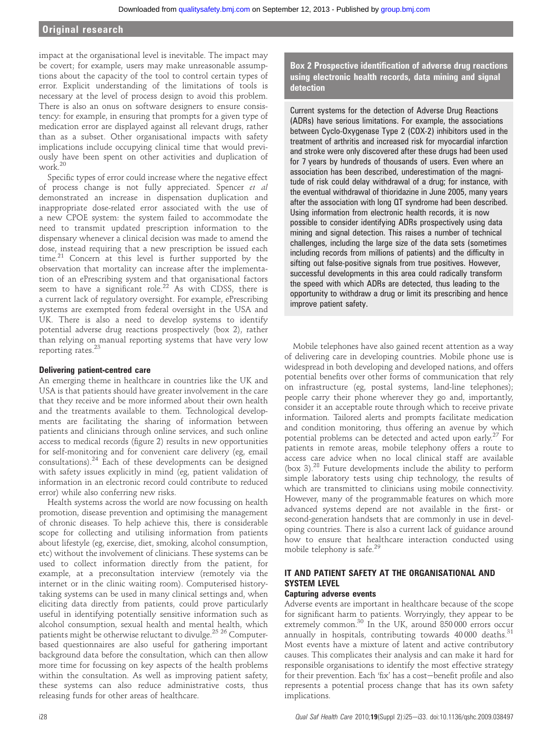impact at the organisational level is inevitable. The impact may be covert; for example, users may make unreasonable assumptions about the capacity of the tool to control certain types of error. Explicit understanding of the limitations of tools is necessary at the level of process design to avoid this problem. There is also an onus on software designers to ensure consistency: for example, in ensuring that prompts for a given type of medication error are displayed against all relevant drugs, rather than as a subset. Other organisational impacts with safety implications include occupying clinical time that would previously have been spent on other activities and duplication of work.<sup>20</sup>

Specific types of error could increase where the negative effect of process change is not fully appreciated. Spencer et al demonstrated an increase in dispensation duplication and inappropriate dose-related error associated with the use of a new CPOE system: the system failed to accommodate the need to transmit updated prescription information to the dispensary whenever a clinical decision was made to amend the dose, instead requiring that a new prescription be issued each time.<sup>21</sup> Concern at this level is further supported by the observation that mortality can increase after the implementation of an ePrescribing system and that organisational factors seem to have a significant role.<sup>22</sup> As with CDSS, there is a current lack of regulatory oversight. For example, ePrescribing systems are exempted from federal oversight in the USA and UK. There is also a need to develop systems to identify potential adverse drug reactions prospectively (box 2), rather than relying on manual reporting systems that have very low reporting rates.<sup>23</sup>

#### Delivering patient-centred care

An emerging theme in healthcare in countries like the UK and USA is that patients should have greater involvement in the care that they receive and be more informed about their own health and the treatments available to them. Technological developments are facilitating the sharing of information between patients and clinicians through online services, and such online access to medical records (figure 2) results in new opportunities for self-monitoring and for convenient care delivery (eg, email consultations).<sup>24</sup> Each of these developments can be designed with safety issues explicitly in mind (eg, patient validation of information in an electronic record could contribute to reduced error) while also conferring new risks.

Health systems across the world are now focussing on health promotion, disease prevention and optimising the management of chronic diseases. To help achieve this, there is considerable scope for collecting and utilising information from patients about lifestyle (eg, exercise, diet, smoking, alcohol consumption, etc) without the involvement of clinicians. These systems can be used to collect information directly from the patient, for example, at a preconsultation interview (remotely via the internet or in the clinic waiting room). Computerised historytaking systems can be used in many clinical settings and, when eliciting data directly from patients, could prove particularly useful in identifying potentially sensitive information such as alcohol consumption, sexual health and mental health, which patients might be otherwise reluctant to divulge.<sup>25</sup> <sup>26</sup> Computerbased questionnaires are also useful for gathering important background data before the consultation, which can then allow more time for focussing on key aspects of the health problems within the consultation. As well as improving patient safety, these systems can also reduce administrative costs, thus releasing funds for other areas of healthcare.

Box 2 Prospective identification of adverse drug reactions using electronic health records, data mining and signal detection

Current systems for the detection of Adverse Drug Reactions (ADRs) have serious limitations. For example, the associations between Cyclo-Oxygenase Type 2 (COX-2) inhibitors used in the treatment of arthritis and increased risk for myocardial infarction and stroke were only discovered after these drugs had been used for 7 years by hundreds of thousands of users. Even where an association has been described, underestimation of the magnitude of risk could delay withdrawal of a drug; for instance, with the eventual withdrawal of thioridazine in June 2005, many years after the association with long QT syndrome had been described. Using information from electronic health records, it is now possible to consider identifying ADRs prospectively using data mining and signal detection. This raises a number of technical challenges, including the large size of the data sets (sometimes including records from millions of patients) and the difficulty in sifting out false-positive signals from true positives. However, successful developments in this area could radically transform the speed with which ADRs are detected, thus leading to the opportunity to withdraw a drug or limit its prescribing and hence improve patient safety.

Mobile telephones have also gained recent attention as a way of delivering care in developing countries. Mobile phone use is widespread in both developing and developed nations, and offers potential benefits over other forms of communication that rely on infrastructure (eg, postal systems, land-line telephones); people carry their phone wherever they go and, importantly, consider it an acceptable route through which to receive private information. Tailored alerts and prompts facilitate medication and condition monitoring, thus offering an avenue by which potential problems can be detected and acted upon early.<sup>27</sup> For patients in remote areas, mobile telephony offers a route to access care advice when no local clinical staff are available (box 3).28 Future developments include the ability to perform simple laboratory tests using chip technology, the results of which are transmitted to clinicians using mobile connectivity. However, many of the programmable features on which more advanced systems depend are not available in the first- or second-generation handsets that are commonly in use in developing countries. There is also a current lack of guidance around how to ensure that healthcare interaction conducted using mobile telephony is safe.<sup>29</sup>

#### IT AND PATIENT SAFETY AT THE ORGANISATIONAL AND SYSTEM LEVEL

#### Capturing adverse events

Adverse events are important in healthcare because of the scope for significant harm to patients. Worryingly, they appear to be extremely common.<sup>30</sup> In the UK, around 850 000 errors occur annually in hospitals, contributing towards  $40\,000$  deaths.<sup>31</sup> Most events have a mixture of latent and active contributory causes. This complicates their analysis and can make it hard for responsible organisations to identify the most effective strategy for their prevention. Each 'fix' has a cost-benefit profile and also represents a potential process change that has its own safety implications.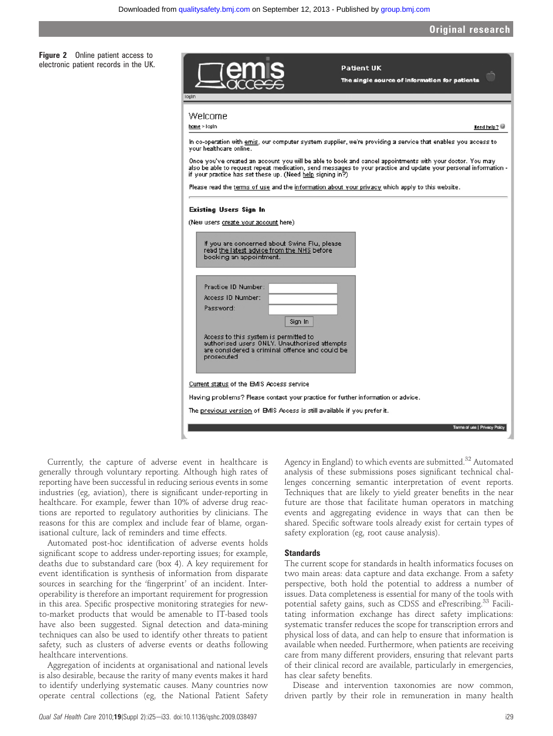**Figure 2** Online patient access to electronic patient records in the UK.

| login                                                                                                                                                 | Patient UK<br>The single source of information for patients                                                                                                                                                                   |
|-------------------------------------------------------------------------------------------------------------------------------------------------------|-------------------------------------------------------------------------------------------------------------------------------------------------------------------------------------------------------------------------------|
| Welcome                                                                                                                                               |                                                                                                                                                                                                                               |
| home > login                                                                                                                                          | Need help?                                                                                                                                                                                                                    |
| vour healthcare online.                                                                                                                               | In co-operation with emis, our computer system supplier, we're providing a service that enables you access to                                                                                                                 |
| if your practice has set these up. (Need help signing in?)                                                                                            | Once you've created an account you will be able to book and cancel appointments with your doctor. You may<br>also be able to request repeat medication, send messages to your practice and update your personal information - |
| Please read the terms of use and the information about your privacy which apply to this website.                                                      |                                                                                                                                                                                                                               |
| If you are concerned about Swine Flu, please<br>read the latest advice from the NHS before<br>booking an appointment.                                 |                                                                                                                                                                                                                               |
| Practice ID Number:<br><b>Access ID Number:</b>                                                                                                       |                                                                                                                                                                                                                               |
| Password:<br>Sign In                                                                                                                                  |                                                                                                                                                                                                                               |
| Access to this system is permitted to<br>authorised users ONLY. Unauthorised attempts<br>are considered a criminal offence and could be<br>prosecuted |                                                                                                                                                                                                                               |
| Current status of the BMIS Access service                                                                                                             |                                                                                                                                                                                                                               |
| Having problems? Please contact your practice for further information or advice.                                                                      |                                                                                                                                                                                                                               |
| The previous version of BMIS Access is still available if you prefer it.                                                                              |                                                                                                                                                                                                                               |
|                                                                                                                                                       | Terms of use   Privacy Policy                                                                                                                                                                                                 |
|                                                                                                                                                       |                                                                                                                                                                                                                               |

Currently, the capture of adverse event in healthcare is generally through voluntary reporting. Although high rates of reporting have been successful in reducing serious events in some industries (eg, aviation), there is significant under-reporting in healthcare. For example, fewer than 10% of adverse drug reactions are reported to regulatory authorities by clinicians. The reasons for this are complex and include fear of blame, organisational culture, lack of reminders and time effects.

Automated post-hoc identification of adverse events holds significant scope to address under-reporting issues; for example, deaths due to substandard care (box 4). A key requirement for event identification is synthesis of information from disparate sources in searching for the 'fingerprint' of an incident. Interoperability is therefore an important requirement for progression in this area. Specific prospective monitoring strategies for newto-market products that would be amenable to IT-based tools have also been suggested. Signal detection and data-mining techniques can also be used to identify other threats to patient safety, such as clusters of adverse events or deaths following healthcare interventions.

Aggregation of incidents at organisational and national levels is also desirable, because the rarity of many events makes it hard to identify underlying systematic causes. Many countries now operate central collections (eg, the National Patient Safety Agency in England) to which events are submitted.<sup>32</sup> Automated analysis of these submissions poses significant technical challenges concerning semantic interpretation of event reports. Techniques that are likely to yield greater benefits in the near future are those that facilitate human operators in matching events and aggregating evidence in ways that can then be shared. Specific software tools already exist for certain types of safety exploration (eg, root cause analysis).

#### **Standards**

The current scope for standards in health informatics focuses on two main areas: data capture and data exchange. From a safety perspective, both hold the potential to address a number of issues. Data completeness is essential for many of the tools with potential safety gains, such as CDSS and ePrescribing.<sup>33</sup> Facilitating information exchange has direct safety implications: systematic transfer reduces the scope for transcription errors and physical loss of data, and can help to ensure that information is available when needed. Furthermore, when patients are receiving care from many different providers, ensuring that relevant parts of their clinical record are available, particularly in emergencies, has clear safety benefits.

Disease and intervention taxonomies are now common, driven partly by their role in remuneration in many health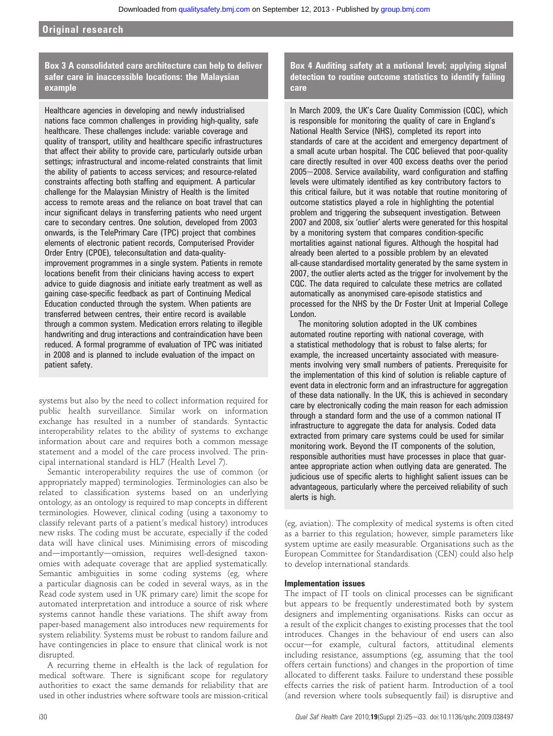Box 3 A consolidated care architecture can help to deliver safer care in inaccessible locations: the Malaysian example

Healthcare agencies in developing and newly industrialised nations face common challenges in providing high-quality, safe healthcare. These challenges include: variable coverage and quality of transport, utility and healthcare specific infrastructures that affect their ability to provide care, particularly outside urban settings; infrastructural and income-related constraints that limit the ability of patients to access services; and resource-related constraints affecting both staffing and equipment. A particular challenge for the Malaysian Ministry of Health is the limited access to remote areas and the reliance on boat travel that can incur significant delays in transferring patients who need urgent care to secondary centres. One solution, developed from 2003 onwards, is the TelePrimary Care (TPC) project that combines elements of electronic patient records, Computerised Provider Order Entry (CPOE), teleconsultation and data-qualityimprovement programmes in a single system. Patients in remote locations benefit from their clinicians having access to expert advice to guide diagnosis and initiate early treatment as well as gaining case-specific feedback as part of Continuing Medical Education conducted through the system. When patients are transferred between centres, their entire record is available through a common system. Medication errors relating to illegible handwriting and drug interactions and contraindication have been reduced. A formal programme of evaluation of TPC was initiated in 2008 and is planned to include evaluation of the impact on patient safety.

systems but also by the need to collect information required for public health surveillance. Similar work on information exchange has resulted in a number of standards. Syntactic interoperability relates to the ability of systems to exchange information about care and requires both a common message statement and a model of the care process involved. The principal international standard is HL7 (Health Level 7).

Semantic interoperability requires the use of common (or appropriately mapped) terminologies. Terminologies can also be related to classification systems based on an underlying ontology, as an ontology is required to map concepts in different terminologies. However, clinical coding (using a taxonomy to classify relevant parts of a patient's medical history) introduces new risks. The coding must be accurate, especially if the coded data will have clinical uses. Minimising errors of miscoding and-importantly-omission, requires well-designed taxonomies with adequate coverage that are applied systematically. Semantic ambiguities in some coding systems (eg, where a particular diagnosis can be coded in several ways, as in the Read code system used in UK primary care) limit the scope for automated interpretation and introduce a source of risk where systems cannot handle these variations. The shift away from paper-based management also introduces new requirements for system reliability. Systems must be robust to random failure and have contingencies in place to ensure that clinical work is not disrupted.

A recurring theme in eHealth is the lack of regulation for medical software. There is significant scope for regulatory authorities to exact the same demands for reliability that are used in other industries where software tools are mission-critical

Box 4 Auditing safety at a national level; applying signal detection to routine outcome statistics to identify failing care

In March 2009, the UK's Care Quality Commission (CQC), which is responsible for monitoring the quality of care in England's National Health Service (NHS), completed its report into standards of care at the accident and emergency department of a small acute urban hospital. The CQC believed that poor-quality care directly resulted in over 400 excess deaths over the period 2005-2008. Service availability, ward configuration and staffing levels were ultimately identified as key contributory factors to this critical failure, but it was notable that routine monitoring of outcome statistics played a role in highlighting the potential problem and triggering the subsequent investigation. Between 2007 and 2008, six 'outlier' alerts were generated for this hospital by a monitoring system that compares condition-specific mortalities against national figures. Although the hospital had already been alerted to a possible problem by an elevated all-cause standardised mortality generated by the same system in 2007, the outlier alerts acted as the trigger for involvement by the CQC. The data required to calculate these metrics are collated automatically as anonymised care-episode statistics and processed for the NHS by the Dr Foster Unit at Imperial College London.

The monitoring solution adopted in the UK combines automated routine reporting with national coverage, with a statistical methodology that is robust to false alerts; for example, the increased uncertainty associated with measurements involving very small numbers of patients. Prerequisite for the implementation of this kind of solution is reliable capture of event data in electronic form and an infrastructure for aggregation of these data nationally. In the UK, this is achieved in secondary care by electronically coding the main reason for each admission through a standard form and the use of a common national IT infrastructure to aggregate the data for analysis. Coded data extracted from primary care systems could be used for similar monitoring work. Beyond the IT components of the solution, responsible authorities must have processes in place that guarantee appropriate action when outlying data are generated. The judicious use of specific alerts to highlight salient issues can be advantageous, particularly where the perceived reliability of such alerts is high.

(eg, aviation). The complexity of medical systems is often cited as a barrier to this regulation; however, simple parameters like system uptime are easily measurable. Organisations such as the European Committee for Standardisation (CEN) could also help to develop international standards.

#### Implementation issues

The impact of IT tools on clinical processes can be significant but appears to be frequently underestimated both by system designers and implementing organisations. Risks can occur as a result of the explicit changes to existing processes that the tool introduces. Changes in the behaviour of end users can also occur-for example, cultural factors, attitudinal elements including resistance, assumptions (eg, assuming that the tool offers certain functions) and changes in the proportion of time allocated to different tasks. Failure to understand these possible effects carries the risk of patient harm. Introduction of a tool (and reversion where tools subsequently fail) is disruptive and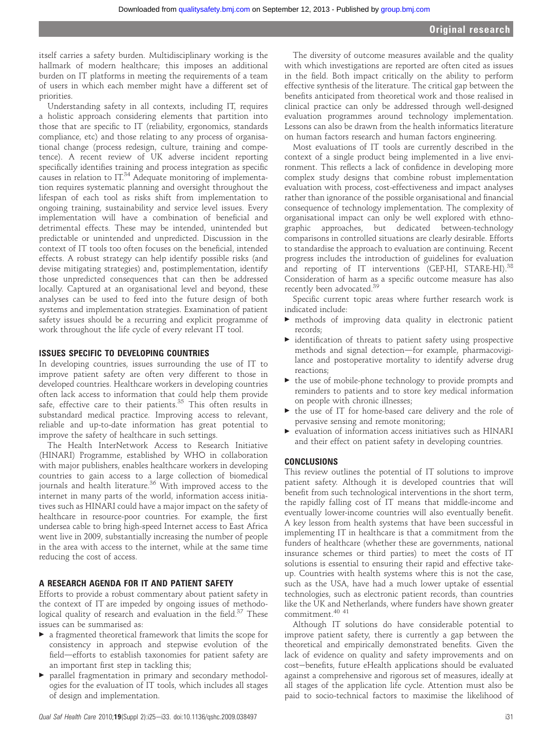itself carries a safety burden. Multidisciplinary working is the hallmark of modern healthcare; this imposes an additional burden on IT platforms in meeting the requirements of a team of users in which each member might have a different set of priorities.

Understanding safety in all contexts, including IT, requires a holistic approach considering elements that partition into those that are specific to IT (reliability, ergonomics, standards compliance, etc) and those relating to any process of organisational change (process redesign, culture, training and competence). A recent review of UK adverse incident reporting specifically identifies training and process integration as specific causes in relation to IT.<sup>34</sup> Adequate monitoring of implementation requires systematic planning and oversight throughout the lifespan of each tool as risks shift from implementation to ongoing training, sustainability and service level issues. Every implementation will have a combination of beneficial and detrimental effects. These may be intended, unintended but predictable or unintended and unpredicted. Discussion in the context of IT tools too often focuses on the beneficial, intended effects. A robust strategy can help identify possible risks (and devise mitigating strategies) and, postimplementation, identify those unpredicted consequences that can then be addressed locally. Captured at an organisational level and beyond, these analyses can be used to feed into the future design of both systems and implementation strategies. Examination of patient safety issues should be a recurring and explicit programme of work throughout the life cycle of every relevant IT tool.

#### ISSUES SPECIFIC TO DEVELOPING COUNTRIES

In developing countries, issues surrounding the use of IT to improve patient safety are often very different to those in developed countries. Healthcare workers in developing countries often lack access to information that could help them provide safe, effective care to their patients.<sup>35</sup> This often results in substandard medical practice. Improving access to relevant, reliable and up-to-date information has great potential to improve the safety of healthcare in such settings.

The Health InterNetwork Access to Research Initiative (HINARI) Programme, established by WHO in collaboration with major publishers, enables healthcare workers in developing countries to gain access to a large collection of biomedical journals and health literature.<sup>36</sup> With improved access to the internet in many parts of the world, information access initiatives such as HINARI could have a major impact on the safety of healthcare in resource-poor countries. For example, the first undersea cable to bring high-speed Internet access to East Africa went live in 2009, substantially increasing the number of people in the area with access to the internet, while at the same time reducing the cost of access.

#### A RESEARCH AGENDA FOR IT AND PATIENT SAFETY

Efforts to provide a robust commentary about patient safety in the context of IT are impeded by ongoing issues of methodological quality of research and evaluation in the field.<sup>37</sup> These issues can be summarised as:

- ▶ a fragmented theoretical framework that limits the scope for consistency in approach and stepwise evolution of the field-efforts to establish taxonomies for patient safety are an important first step in tackling this;
- < parallel fragmentation in primary and secondary methodologies for the evaluation of IT tools, which includes all stages of design and implementation.

The diversity of outcome measures available and the quality with which investigations are reported are often cited as issues in the field. Both impact critically on the ability to perform effective synthesis of the literature. The critical gap between the benefits anticipated from theoretical work and those realised in clinical practice can only be addressed through well-designed evaluation programmes around technology implementation. Lessons can also be drawn from the health informatics literature on human factors research and human factors engineering.

Most evaluations of IT tools are currently described in the context of a single product being implemented in a live environment. This reflects a lack of confidence in developing more complex study designs that combine robust implementation evaluation with process, cost-effectiveness and impact analyses rather than ignorance of the possible organisational and financial consequence of technology implementation. The complexity of organisational impact can only be well explored with ethnographic approaches, but dedicated between-technology comparisons in controlled situations are clearly desirable. Efforts to standardise the approach to evaluation are continuing. Recent progress includes the introduction of guidelines for evaluation and reporting of IT interventions (GEP-HI, STARE-HI).<sup>38</sup> Consideration of harm as a specific outcome measure has also recently been advocated.<sup>39</sup>

Specific current topic areas where further research work is indicated include:

- < methods of improving data quality in electronic patient records;
- < identification of threats to patient safety using prospective methods and signal detection-for example, pharmacovigilance and postoperative mortality to identify adverse drug reactions;
- < the use of mobile-phone technology to provide prompts and reminders to patients and to store key medical information on people with chronic illnesses;
- < the use of IT for home-based care delivery and the role of pervasive sensing and remote monitoring;
- < evaluation of information access initiatives such as HINARI and their effect on patient safety in developing countries.

#### CONCLUSIONS

This review outlines the potential of IT solutions to improve patient safety. Although it is developed countries that will benefit from such technological interventions in the short term, the rapidly falling cost of IT means that middle-income and eventually lower-income countries will also eventually benefit. A key lesson from health systems that have been successful in implementing IT in healthcare is that a commitment from the funders of healthcare (whether these are governments, national insurance schemes or third parties) to meet the costs of IT solutions is essential to ensuring their rapid and effective takeup. Countries with health systems where this is not the case, such as the USA, have had a much lower uptake of essential technologies, such as electronic patient records, than countries like the UK and Netherlands, where funders have shown greater commitment.<sup>40</sup> <sup>41</sup>

Although IT solutions do have considerable potential to improve patient safety, there is currently a gap between the theoretical and empirically demonstrated benefits. Given the lack of evidence on quality and safety improvements and on cost-benefits, future eHealth applications should be evaluated against a comprehensive and rigorous set of measures, ideally at all stages of the application life cycle. Attention must also be paid to socio-technical factors to maximise the likelihood of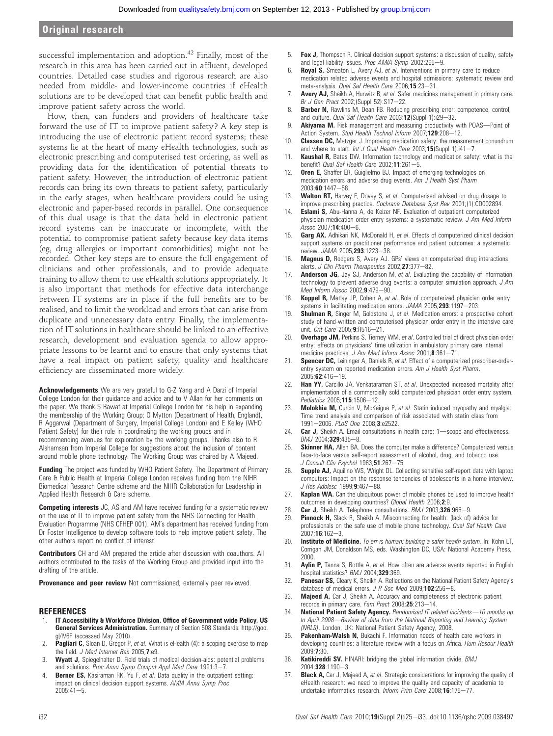successful implementation and adoption.<sup>42</sup> Finally, most of the research in this area has been carried out in affluent, developed countries. Detailed case studies and rigorous research are also needed from middle- and lower-income countries if eHealth solutions are to be developed that can benefit public health and improve patient safety across the world.

How, then, can funders and providers of healthcare take forward the use of IT to improve patient safety? A key step is introducing the use of electronic patient record systems; these systems lie at the heart of many eHealth technologies, such as electronic prescribing and computerised test ordering, as well as providing data for the identification of potential threats to patient safety. However, the introduction of electronic patient records can bring its own threats to patient safety, particularly in the early stages, when healthcare providers could be using electronic and paper-based records in parallel. One consequence of this dual usage is that the data held in electronic patient record systems can be inaccurate or incomplete, with the potential to compromise patient safety because key data items (eg, drug allergies or important comorbidities) might not be recorded. Other key steps are to ensure the full engagement of clinicians and other professionals, and to provide adequate training to allow them to use eHealth solutions appropriately. It is also important that methods for effective data interchange between IT systems are in place if the full benefits are to be realised, and to limit the workload and errors that can arise from duplicate and unnecessary data entry. Finally, the implementation of IT solutions in healthcare should be linked to an effective research, development and evaluation agenda to allow appropriate lessons to be learnt and to ensure that only systems that have a real impact on patient safety, quality and healthcare efficiency are disseminated more widely.

Acknowledgements We are very grateful to G-Z Yang and A Darzi of Imperial College London for their guidance and advice and to V Allan for her comments on the paper. We thank S Rawaf at Imperial College London for his help in expanding the membership of the Working Group; O Mytton (Department of Health, England), R Aggarwal (Department of Surgery, Imperial College London) and E Kelley (WHO Patient Safety) for their role in coordinating the working groups and in recommending avenues for exploration by the working groups. Thanks also to R Alshamsan from Imperial College for suggestions about the inclusion of content around mobile phone technology. The Working Group was chaired by A Majeed.

Funding The project was funded by WHO Patient Safety. The Department of Primary Care & Public Health at Imperial College London receives funding from the NIHR Biomedical Research Centre scheme and the NIHR Collaboration for Leadership in Applied Health Research & Care scheme.

Competing interests JC, AS and AM have received funding for a systematic review on the use of IT to improve patient safety from the NHS Connecting for Health Evaluation Programme (NHS CFHEP 001). AM's department has received funding from Dr Foster Intelligence to develop software tools to help improve patient safety. The other authors report no conflict of interest.

Contributors CH and AM prepared the article after discussion with coauthors. All authors contributed to the tasks of the Working Group and provided input into the drafting of the article.

Provenance and peer review Not commissioned; externally peer reviewed.

#### **REFERENCES**

- 1. IT Accessibility & Workforce Division, Office of Government wide Policy, US General Services Administration. Summary of Section 508 Standards. http://goo. gl/lV6F (accessed May 2010).
- 2. **Pagliari C,** Sloan D, Gregor P, et al. What is eHealth  $(4)$ : a scoping exercise to map the field. J Med Internet Res 2005;7:e9.
- 3. Wyatt J, Spiegelhalter D. Field trials of medical decision-aids: potential problems and solutions. Proc Annu Symp Comput Appl Med Care 1991:3-7.
- 4. **Berner ES,** Kasiraman RK, Yu F, et al. Data quality in the outpatient setting: impact on clinical decision support systems. AMIA Annu Symp Proc  $2005:41 - 5$ .
- 5. Fox J, Thompson R. Clinical decision support systems: a discussion of quality, safety and legal liability issues. Proc AMIA Symp 2002:265-9.
- 6. Royal S, Smeaton L, Avery AJ, et al. Interventions in primary care to reduce medication related adverse events and hospital admissions: systematic review and meta-analysis. Qual Saf Health Care 2006:15:23-31.
- 7. Avery AJ, Sheikh A, Hurwitz B, et al. Safer medicines management in primary care. Br J Gen Pract 2002;(Suppl 52):S17-22.
- 8. **Barber N, Rawlins M, Dean FB. Reducing prescribing error: competence, control,** and culture. Qual Saf Health Care 2003:12(Suppl 1):i29-32.
- 9. **Akiyama M.** Risk management and measuring productivity with POAS-Point of Action System. Stud Health Technol Inform 2007;129:208-12.
- 10. **Classen DC,** Metzger J. Improving medication safety: the measurement conundrum and where to start. Int J Qual Health Care 2003;15(Suppl 1): $i41-7$ .
- 11. **Kaushal R,** Bates DW. Information technology and medication safety: what is the benefit? Qual Saf Health Care  $2002:11:261-5$ .
- 12. Oren E, Shaffer ER, Guiglielmo BJ. Impact of emerging technologies on medication errors and adverse drug events. Am J Health Syst Pharm  $2003:60:1447 - 58.$
- 13. Walton RT, Harvey E, Dovey S, et al. Computerised advised on drug dosage to improve prescribing practice. Cochrane Database Syst Rev 2001;(1):CD002894.
- 14. **Eslami S,** Abu-Hanna A, de Keizer NF. Evaluation of outpatient computerized physician medication order entry systems: a systematic review. J Am Med Inform Assoc 2007;14:400-6.
- 15. Garg AX, Adhikari NK, McDonald H, et al. Effects of computerized clinical decision support systems on practitioner performance and patient outcomes: a systematic review. JAMA 2005, 293 1223-38.
- 16. Magnus D, Rodgers S, Avery AJ. GPs' views on computerized drug interactions alerts. J Clin Pharm Therapeutics 2002;27:377-82.
- Anderson JG, Jay SJ, Anderson M, et al. Evaluating the capability of information technology to prevent adverse drug events: a computer simulation approach. J Am Med Inform Assoc  $2002; 9:479 - 90$ .
- Koppel R, Metlay JP, Cohen A, et al. Role of computerized physician order entry systems in facilitating medication errors. JAMA 2005;293:1197-203.
- 19. Shulman R, Singer M, Goldstone J, et al. Medication errors: a prospective cohort study of hand-written and computerised physician order entry in the intensive care unit. Crit Care  $2005; 9:R516-21$ .
- 20. **Overhage JM,** Perkins S, Tierney WM, et al. Controlled trial of direct physician order entry: effects on physicians' time utilization in ambulatory primary care internal medicine practices. J Am Med Inform Assoc 2001;8:361-71.
- 21. Spencer DC, Leininger A, Daniels R, et al. Effect of a computerized prescriber-orderentry system on reported medication errors. Am J Health Syst Pharm.  $2005:62:416-19.$
- 22. Han YY, Carcillo JA, Venkataraman ST, et al. Unexpected increased mortality after implementation of a commercially sold computerized physician order entry system. Pediatrics 2005;115:1506-12.
- 23. Molokhia M, Curcin V, McKeigue P, et al. Statin induced myopathy and myalgia: Time trend analysis and comparison of risk associated with statin class from 1991-2006. PLoS One 2008;3:e2522.
- 24. **Car J,** Sheikh A. Email consultations in health care:  $1$ —scope and effectiveness.  $BMJ 2004;$ 329:435-8.
- 25. **Skinner HA,** Allen BA. Does the computer make a difference? Computerized versus face-to-face versus self-report assessment of alcohol, drug, and tobacco use. J Consult Clin Psychol 1983;51:267-75.
- Supple AJ, Aquilino WS, Wright DL. Collecting sensitive self-report data with laptop computers: Impact on the response tendencies of adolescents in a home interview. J Res Adolesc 1999;9:467-88.
- 27. Kaplan WA. Can the ubiquitous power of mobile phones be used to improve health outcomes in developing countries? Global Health 2006;2:9.
- 28. Car J, Sheikh A. Telephone consultations. BMJ 2003;326:966-9.
- 29. Pinnock H, Slack R, Sheikh A. Misconnecting for health: (lack of) advice for professionals on the safe use of mobile phone technology. Qual Saf Health Care  $2007;16:162-3$
- 30. Institute of Medicine. To err is human: building a safer health system. In: Kohn LT, Corrigan JM, Donaldson MS, eds. Washington DC, USA: National Academy Press, 2000.
- 31. Aylin P, Tanna S, Bottle A, et al. How often are adverse events reported in English hospital statistics? BMJ 2004;329:369.
- 32. Panesar SS, Cleary K, Sheikh A. Reflections on the National Patient Safety Agency's database of medical errors.  $J R$  Soc Med 2009, 102:256-8.
	- 33. Majeed A, Car J, Sheikh A. Accuracy and completeness of electronic patient records in primary care. Fam Pract 2008;25:213-14.
	- 34. National Patient Safety Agency. Randomised IT related incidents-10 months up to April 2008-Review of data from the National Reporting and Learning System (NRLS). London, UK: National Patient Safety Agency, 2008.
	- 35. Pakenham-Walsh N, Bukachi F. Information needs of health care workers in developing countries: a literature review with a focus on Africa. Hum Resour Health 2009;7:30.
	- 36. **Katikireddi SV.** HINARI: bridging the global information divide. BMJ 2004;328:1190-3.
	- 37. Black A, Car J, Majeed A, et al. Strategic considerations for improving the quality of eHealth research: we need to improve the quality and capacity of academia to undertake informatics research. *Inform Prim Care* 2008;16:175-77.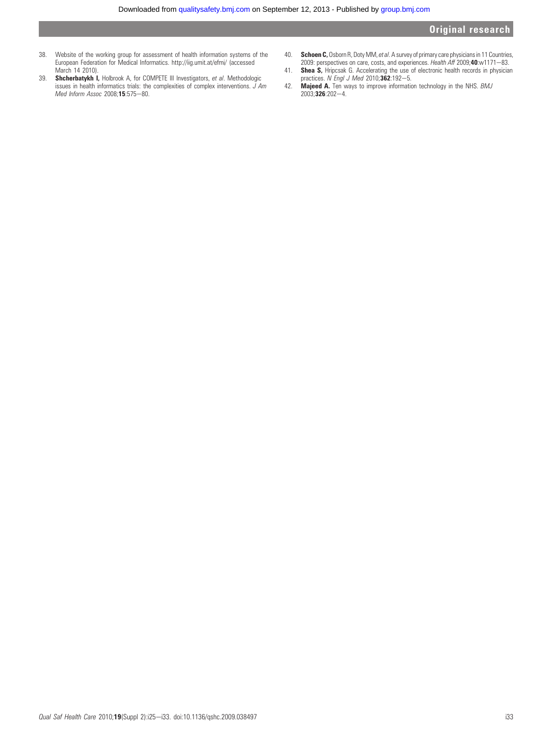- 38. Website of the working group for assessment of health information systems of the European Federation for Medical Informatics. http://iig.umit.at/efmi/ (accessed March 14 2010).
- 39. Shcherbatykh I, Holbrook A, for COMPETE III Investigators, et al. Methodologic issues in health informatics trials: the complexities of complex interventions.  $J Am$ Med Inform Assoc 2008;15:575-80.
- 40. Schoen C, Osborn R, Doty MM, et al. A survey of primary care physicians in 11 Countries, 2009: perspectives on care, costs, and experiences. Health Aff 2009;40:w1171-83.
- 41. **Shea S,** Hripcsak G. Accelerating the use of electronic health records in physician practices. *N Engl J Med* 2010;362:192-5.
- 42. Majeed A. Ten ways to improve information technology in the NHS. BMJ  $2003;326:202-4.$